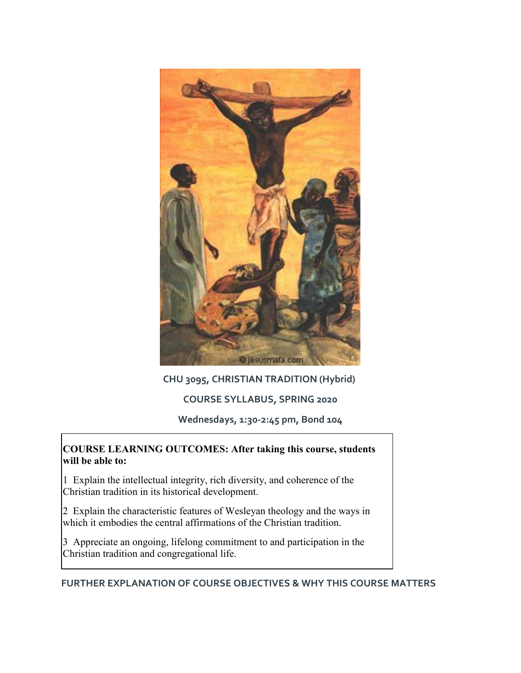

## **CHU 3095, CHRISTIAN TRADITION (Hybrid)**

## **COURSE SYLLABUS, SPRING 2020**

**Wednesdays, 1:30-2:45 pm, Bond 104**

#### **COURSE LEARNING OUTCOMES: After taking this course, students will be able to:**

1 Explain the intellectual integrity, rich diversity, and coherence of the Christian tradition in its historical development.

2 Explain the characteristic features of Wesleyan theology and the ways in which it embodies the central affirmations of the Christian tradition.

3 Appreciate an ongoing, lifelong commitment to and participation in the Christian tradition and congregational life.

**FURTHER EXPLANATION OF COURSE OBJECTIVES & WHY THIS COURSE MATTERS**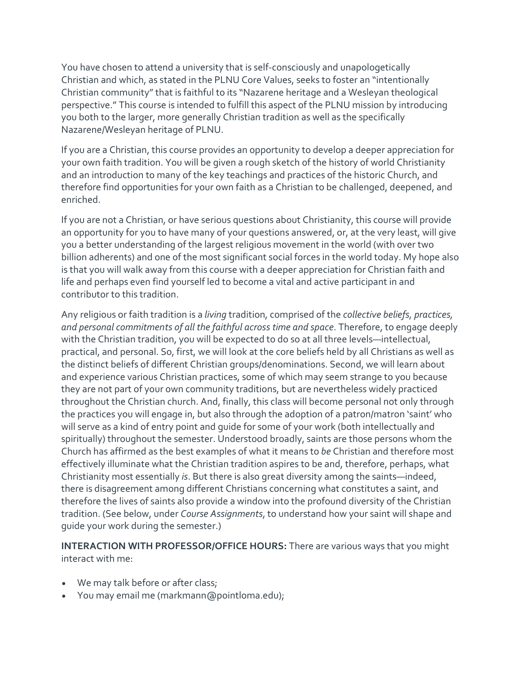You have chosen to attend a university that is self-consciously and unapologetically Christian and which, as stated in the PLNU Core Values, seeks to foster an "intentionally Christian community" that is faithful to its "Nazarene heritage and a Wesleyan theological perspective." This course is intended to fulfill this aspect of the PLNU mission by introducing you both to the larger, more generally Christian tradition as well as the specifically Nazarene/Wesleyan heritage of PLNU.

If you are a Christian, this course provides an opportunity to develop a deeper appreciation for your own faith tradition. You will be given a rough sketch of the history of world Christianity and an introduction to many of the key teachings and practices of the historic Church, and therefore find opportunities for your own faith as a Christian to be challenged, deepened, and enriched.

If you are not a Christian, or have serious questions about Christianity, this course will provide an opportunity for you to have many of your questions answered, or, at the very least, will give you a better understanding of the largest religious movement in the world (with over two billion adherents) and one of the most significant social forces in the world today. My hope also is that you will walk away from this course with a deeper appreciation for Christian faith and life and perhaps even find yourself led to become a vital and active participant in and contributor to this tradition.

Any religious or faith tradition is a *living* tradition, comprised of the *collective beliefs, practices, and personal commitments of all the faithful across time and space*. Therefore, to engage deeply with the Christian tradition, you will be expected to do so at all three levels—intellectual, practical, and personal. So, first, we will look at the core beliefs held by all Christians as well as the distinct beliefs of different Christian groups/denominations. Second, we will learn about and experience various Christian practices, some of which may seem strange to you because they are not part of your own community traditions, but are nevertheless widely practiced throughout the Christian church. And, finally, this class will become personal not only through the practices you will engage in, but also through the adoption of a patron/matron 'saint' who will serve as a kind of entry point and guide for some of your work (both intellectually and spiritually) throughout the semester. Understood broadly, saints are those persons whom the Church has affirmed as the best examples of what it means to *be* Christian and therefore most effectively illuminate what the Christian tradition aspires to be and, therefore, perhaps, what Christianity most essentially *is*. But there is also great diversity among the saints—indeed, there is disagreement among different Christians concerning what constitutes a saint, and therefore the lives of saints also provide a window into the profound diversity of the Christian tradition. (See below, under *Course Assignments*, to understand how your saint will shape and guide your work during the semester.)

**INTERACTION WITH PROFESSOR/OFFICE HOURS:** There are various ways that you might interact with me:

- We may talk before or after class;
- You may email me (markmann@pointloma.edu);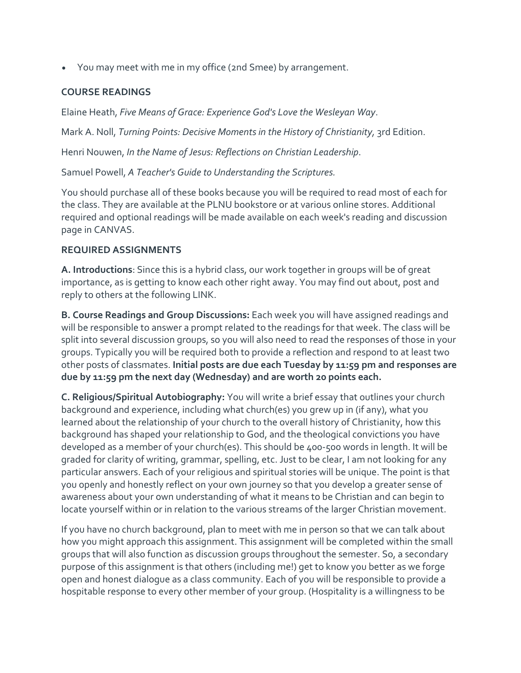• You may meet with me in my office (2nd Smee) by arrangement.

#### **COURSE READINGS**

Elaine Heath, *Five Means of Grace: Experience God's Love the Wesleyan Way*.

Mark A. Noll, *Turning Points: Decisive Moments in the History of Christianity,* 3rd Edition.

Henri Nouwen, *In the Name of Jesus: Reflections on Christian Leadership*.

Samuel Powell, *A Teacher's Guide to Understanding the Scriptures.*

You should purchase all of these books because you will be required to read most of each for the class. They are available at the PLNU bookstore or at various online stores. Additional required and optional readings will be made available on each week's reading and discussion page in CANVAS.

## **REQUIRED ASSIGNMENTS**

**A. Introductions**: Since this is a hybrid class, our work together in groups will be of great importance, as is getting to know each other right away. You may find out about, post and reply to others at the following LINK.

**B. Course Readings and Group Discussions:** Each week you will have assigned readings and will be responsible to answer a prompt related to the readings for that week. The class will be split into several discussion groups, so you will also need to read the responses of those in your groups. Typically you will be required both to provide a reflection and respond to at least two other posts of classmates. **Initial posts are due each Tuesday by 11:59 pm and responses are due by 11:59 pm the next day (Wednesday) and are worth 20 points each.**

**C. Religious/Spiritual Autobiography:** You will write a brief essay that outlines your church background and experience, including what church(es) you grew up in (if any), what you learned about the relationship of your church to the overall history of Christianity, how this background has shaped your relationship to God, and the theological convictions you have developed as a member of your church(es). This should be 400-500 words in length. It will be graded for clarity of writing, grammar, spelling, etc. Just to be clear, I am not looking for any particular answers. Each of your religious and spiritual stories will be unique. The point is that you openly and honestly reflect on your own journey so that you develop a greater sense of awareness about your own understanding of what it means to be Christian and can begin to locate yourself within or in relation to the various streams of the larger Christian movement.

If you have no church background, plan to meet with me in person so that we can talk about how you might approach this assignment. This assignment will be completed within the small groups that will also function as discussion groups throughout the semester. So, a secondary purpose of this assignment is that others (including me!) get to know you better as we forge open and honest dialogue as a class community. Each of you will be responsible to provide a hospitable response to every other member of your group. (Hospitality is a willingness to be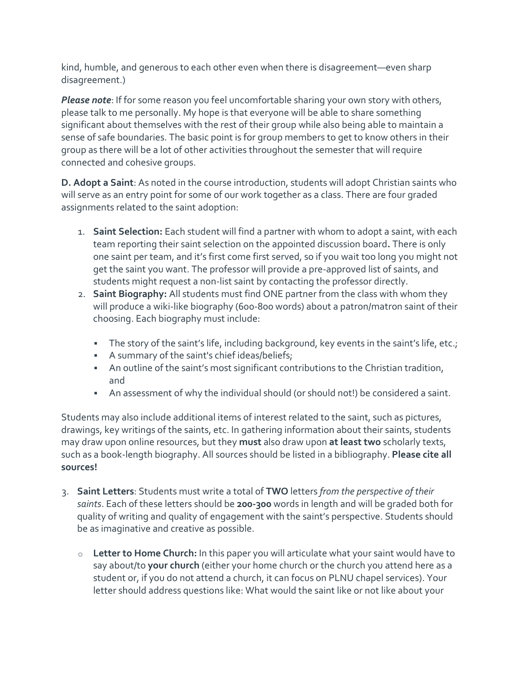kind, humble, and generous to each other even when there is disagreement—even sharp disagreement.)

*Please note*: If for some reason you feel uncomfortable sharing your own story with others, please talk to me personally. My hope is that everyone will be able to share something significant about themselves with the rest of their group while also being able to maintain a sense of safe boundaries. The basic point is for group members to get to know others in their group as there will be a lot of other activities throughout the semester that will require connected and cohesive groups.

**D. Adopt a Saint**: As noted in the course introduction, students will adopt Christian saints who will serve as an entry point for some of our work together as a class. There are four graded assignments related to the saint adoption:

- 1. **Saint Selection:** Each student will find a partner with whom to adopt a saint, with each team reporting their saint selection on the appointed discussion board**.** There is only one saint per team, and it's first come first served, so if you wait too long you might not get the saint you want. The professor will provide a pre-approved list of saints, and students might request a non-list saint by contacting the professor directly.
- 2. **Saint Biography:** All students must find ONE partner from the class with whom they will produce a wiki-like biography (600-800 words) about a patron/matron saint of their choosing. Each biography must include:
	- The story of the saint's life, including background, key events in the saint's life, etc.;
	- A summary of the saint's chief ideas/beliefs;
	- An outline of the saint's most significant contributions to the Christian tradition, and
	- An assessment of why the individual should (or should not!) be considered a saint.

Students may also include additional items of interest related to the saint, such as pictures, drawings, key writings of the saints, etc. In gathering information about their saints, students may draw upon online resources, but they **must** also draw upon **at least two** scholarly texts, such as a book-length biography. All sources should be listed in a bibliography. **Please cite all sources!**

- 3. **Saint Letters**: Students must write a total of **TWO** letters *from the perspective of their saints*. Each of these letters should be **200-300** words in length and will be graded both for quality of writing and quality of engagement with the saint's perspective. Students should be as imaginative and creative as possible.
	- o **Letter to Home Church:** In this paper you will articulate what your saint would have to say about/to **your church** (either your home church or the church you attend here as a student or, if you do not attend a church, it can focus on PLNU chapel services). Your letter should address questions like: What would the saint like or not like about your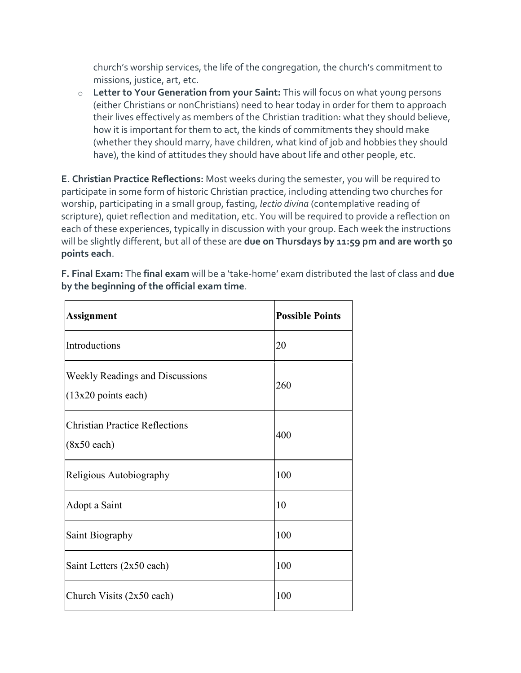church's worship services, the life of the congregation, the church's commitment to missions, justice, art, etc.

o **Letter to Your Generation from your Saint:** This will focus on what young persons (either Christians or nonChristians) need to hear today in order for them to approach their lives effectively as members of the Christian tradition: what they should believe, how it is important for them to act, the kinds of commitments they should make (whether they should marry, have children, what kind of job and hobbies they should have), the kind of attitudes they should have about life and other people, etc.

**E. Christian Practice Reflections:** Most weeks during the semester, you will be required to participate in some form of historic Christian practice, including attending two churches for worship, participating in a small group, fasting, *lectio divina* (contemplative reading of scripture), quiet reflection and meditation, etc. You will be required to provide a reflection on each of these experiences, typically in discussion with your group. Each week the instructions will be slightly different, but all of these are **due on Thursdays by 11:59 pm and are worth 50 points each**.

| <b>Assignment</b>                                               | <b>Possible Points</b> |
|-----------------------------------------------------------------|------------------------|
| Introductions                                                   | 20                     |
| <b>Weekly Readings and Discussions</b><br>$(13x20$ points each) | 260                    |
| <b>Christian Practice Reflections</b><br>$(8x50 \text{ each})$  | 400                    |
| Religious Autobiography                                         | 100                    |
| Adopt a Saint                                                   | 10                     |
| Saint Biography                                                 | 100                    |
| Saint Letters (2x50 each)                                       | 100                    |
| Church Visits (2x50 each)                                       | 100                    |

**F. Final Exam:** The **final exam** will be a 'take-home' exam distributed the last of class and **due by the beginning of the official exam time**.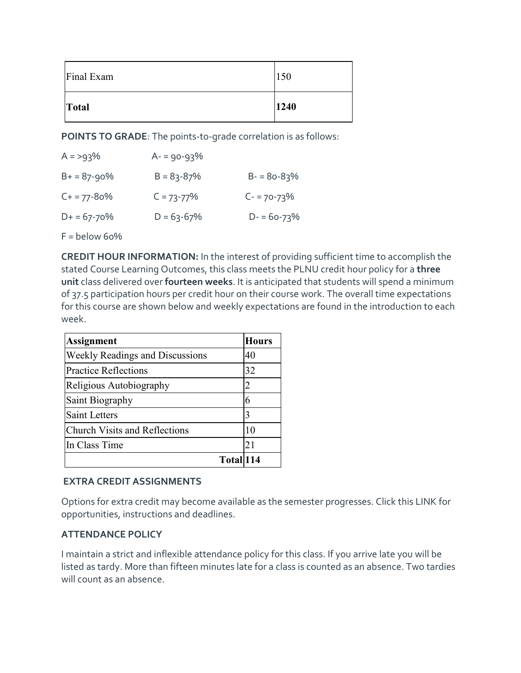| Final Exam | 150  |
|------------|------|
| Total      | 1240 |

**POINTS TO GRADE**: The points-to-grade correlation is as follows:

| $A = 93\%$       | $A - 90 - 93\%$ |                 |
|------------------|-----------------|-----------------|
| $B+ = 87-90%$    | $B = 83 - 87%$  | $B - 80 - 83%$  |
| $C+ = 77 - 80\%$ | $C = 73 - 77%$  | $C - 70 - 73\%$ |
| $D+ = 67 - 70%$  | $D = 63-67%$    | $D - 60 - 73%$  |

 $F =$ below 60%

**CREDIT HOUR INFORMATION:** In the interest of providing sufficient time to accomplish the stated Course Learning Outcomes, this class meets the PLNU credit hour policy for a **three unit** class delivered over **fourteen weeks**. It is anticipated that students will spend a minimum of 37.5 participation hours per credit hour on their course work. The overall time expectations for this course are shown below and weekly expectations are found in the introduction to each week.

| <b>Assignment</b>                      | <b>Hours</b> |
|----------------------------------------|--------------|
| <b>Weekly Readings and Discussions</b> | 40           |
| <b>Practice Reflections</b>            | 32           |
| Religious Autobiography                | 2            |
| Saint Biography                        | 6            |
| <b>Saint Letters</b>                   | 3            |
| <b>Church Visits and Reflections</b>   | 10           |
| In Class Time                          | 21           |
| Total 114                              |              |

#### **EXTRA CREDIT ASSIGNMENTS**

Options for extra credit may become available as the semester progresses. Click this LINK for opportunities, instructions and deadlines.

#### **ATTENDANCE POLICY**

I maintain a strict and inflexible attendance policy for this class. If you arrive late you will be listed as tardy. More than fifteen minutes late for a class is counted as an absence. Two tardies will count as an absence.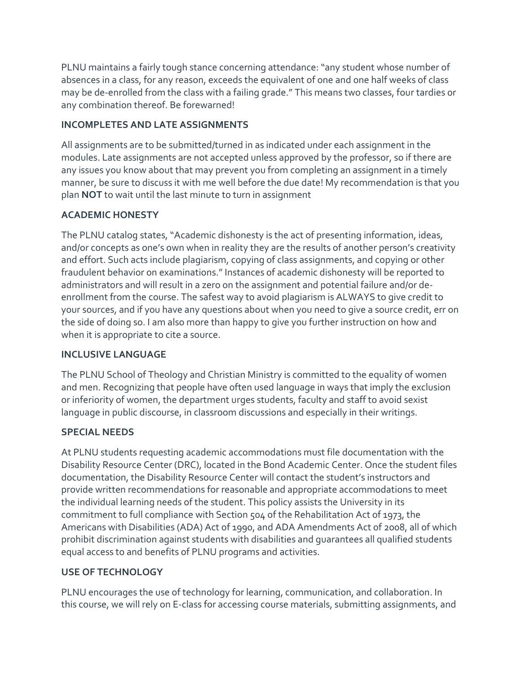PLNU maintains a fairly tough stance concerning attendance: "any student whose number of absences in a class, for any reason, exceeds the equivalent of one and one half weeks of class may be de-enrolled from the class with a failing grade." This means two classes, four tardies or any combination thereof. Be forewarned!

## **INCOMPLETES AND LATE ASSIGNMENTS**

All assignments are to be submitted/turned in as indicated under each assignment in the modules. Late assignments are not accepted unless approved by the professor, so if there are any issues you know about that may prevent you from completing an assignment in a timely manner, be sure to discuss it with me well before the due date! My recommendation is that you plan **NOT** to wait until the last minute to turn in assignment

# **ACADEMIC HONESTY**

The PLNU catalog states, "Academic dishonesty is the act of presenting information, ideas, and/or concepts as one's own when in reality they are the results of another person's creativity and effort. Such acts include plagiarism, copying of class assignments, and copying or other fraudulent behavior on examinations." Instances of academic dishonesty will be reported to administrators and will result in a zero on the assignment and potential failure and/or deenrollment from the course. The safest way to avoid plagiarism is ALWAYS to give credit to your sources, and if you have any questions about when you need to give a source credit, err on the side of doing so. I am also more than happy to give you further instruction on how and when it is appropriate to cite a source.

# **INCLUSIVE LANGUAGE**

The PLNU School of Theology and Christian Ministry is committed to the equality of women and men. Recognizing that people have often used language in ways that imply the exclusion or inferiority of women, the department urges students, faculty and staff to avoid sexist language in public discourse, in classroom discussions and especially in their writings.

# **SPECIAL NEEDS**

At PLNU students requesting academic accommodations must file documentation with the Disability Resource Center (DRC), located in the Bond Academic Center. Once the student files documentation, the Disability Resource Center will contact the student's instructors and provide written recommendations for reasonable and appropriate accommodations to meet the individual learning needs of the student. This policy assists the University in its commitment to full compliance with Section 504 of the Rehabilitation Act of 1973, the Americans with Disabilities (ADA) Act of 1990, and ADA Amendments Act of 2008, all of which prohibit discrimination against students with disabilities and guarantees all qualified students equal access to and benefits of PLNU programs and activities.

# **USE OF TECHNOLOGY**

PLNU encourages the use of technology for learning, communication, and collaboration. In this course, we will rely on E-class for accessing course materials, submitting assignments, and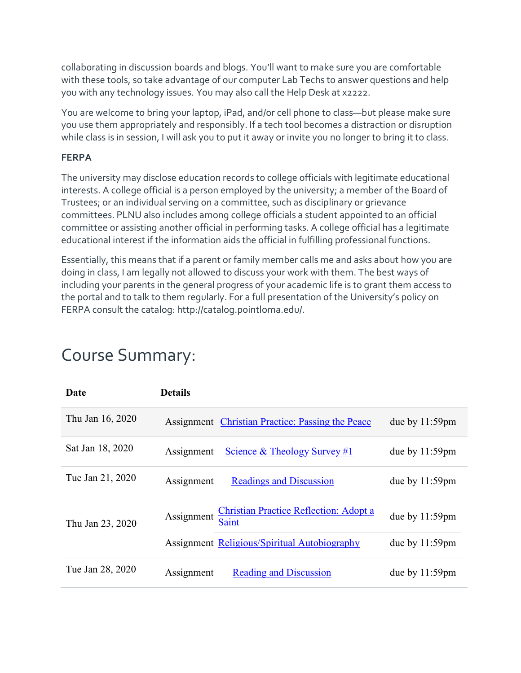collaborating in discussion boards and blogs. You'll want to make sure you are comfortable with these tools, so take advantage of our computer Lab Techs to answer questions and help you with any technology issues. You may also call the Help Desk at x2222.

You are welcome to bring your laptop, iPad, and/or cell phone to class—but please make sure you use them appropriately and responsibly. If a tech tool becomes a distraction or disruption while class is in session, I will ask you to put it away or invite you no longer to bring it to class.

#### **FERPA**

The university may disclose education records to college officials with legitimate educational interests. A college official is a person employed by the university; a member of the Board of Trustees; or an individual serving on a committee, such as disciplinary or grievance committees. PLNU also includes among college officials a student appointed to an official committee or assisting another official in performing tasks. A college official has a legitimate educational interest if the information aids the official in fulfilling professional functions.

Essentially, this means that if a parent or family member calls me and asks about how you are doing in class, I am legally not allowed to discuss your work with them. The best ways of including your parents in the general progress of your academic life is to grant them access to the portal and to talk to them regularly. For a full presentation of the University's policy on FERPA consult the catalog: http://catalog.pointloma.edu/.

| Date             | <b>Details</b>                                                              |                   |
|------------------|-----------------------------------------------------------------------------|-------------------|
| Thu Jan 16, 2020 | Assignment Christian Practice: Passing the Peace                            | due by $11:59$ pm |
| Sat Jan 18, 2020 | Science & Theology Survey #1<br>Assignment                                  | due by $11:59$ pm |
| Tue Jan 21, 2020 | Assignment<br><b>Readings and Discussion</b>                                | due by $11:59$ pm |
| Thu Jan 23, 2020 | <b>Christian Practice Reflection: Adopt a</b><br>Assignment<br><b>Saint</b> | due by $11:59$ pm |
|                  | <b>Assignment Religious/Spiritual Autobiography</b>                         | due by $11:59$ pm |
| Tue Jan 28, 2020 | Assignment<br><b>Reading and Discussion</b>                                 | due by $11:59$ pm |

# Course Summary: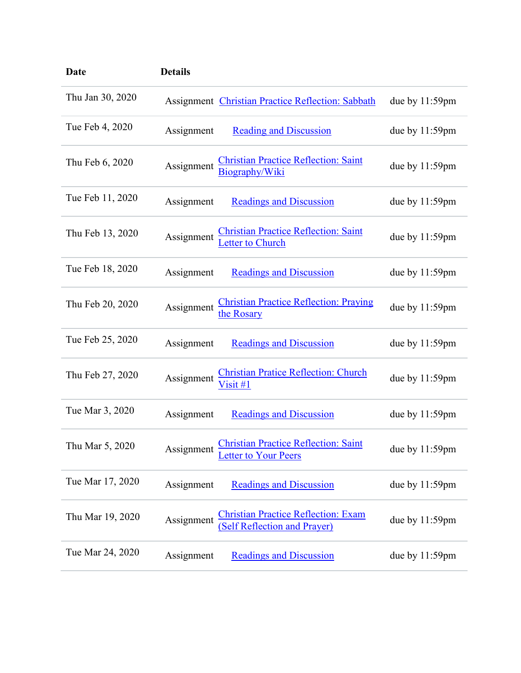| Date             | <b>Details</b> |                                                                                   |                   |
|------------------|----------------|-----------------------------------------------------------------------------------|-------------------|
| Thu Jan 30, 2020 |                | Assignment Christian Practice Reflection: Sabbath                                 | due by $11:59$ pm |
| Tue Feb 4, 2020  | Assignment     | <b>Reading and Discussion</b>                                                     | due by $11:59$ pm |
| Thu Feb 6, 2020  | Assignment     | Christian Practice Reflection: Saint<br>Biography/Wiki                            | due by 11:59pm    |
| Tue Feb 11, 2020 | Assignment     | <b>Readings and Discussion</b>                                                    | due by $11:59$ pm |
| Thu Feb 13, 2020 | Assignment     | Christian Practice Reflection: Saint<br>Letter to Church                          | due by 11:59pm    |
| Tue Feb 18, 2020 | Assignment     | <b>Readings and Discussion</b>                                                    | due by $11:59$ pm |
| Thu Feb 20, 2020 | Assignment     | <b>Christian Practice Reflection: Praying</b><br>the Rosary                       | due by 11:59pm    |
| Tue Feb 25, 2020 | Assignment     | <b>Readings and Discussion</b>                                                    | due by $11:59$ pm |
| Thu Feb 27, 2020 | Assignment     | <b>Christian Pratice Reflection: Church</b><br>$V$ isit #1                        | due by $11:59$ pm |
| Tue Mar 3, 2020  | Assignment     | <b>Readings and Discussion</b>                                                    | due by 11:59pm    |
| Thu Mar 5, 2020  | Assignment     | <b>Christian Practice Reflection: Saint</b><br>etter to Your Peers                | due by 11:59pm    |
| Tue Mar 17, 2020 | Assignment     | <b>Readings and Discussion</b>                                                    | due by 11:59pm    |
| Thu Mar 19, 2020 | Assignment     | <b>Christian Practice Reflection: Exam</b><br><b>(Self Reflection and Prayer)</b> | due by $11:59$ pm |
| Tue Mar 24, 2020 | Assignment     | <b>Readings and Discussion</b>                                                    | due by $11:59$ pm |